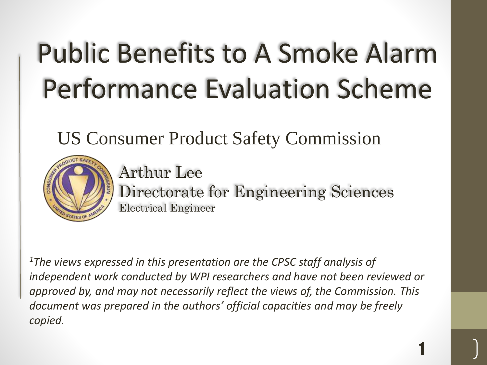# Public Benefits to A Smoke Alarm Performance Evaluation Scheme

US Consumer Product Safety Commission



Arthur Lee Directorate for Engineering Sciences Electrical Engineer

1

*<sup>1</sup>The views expressed in this presentation are the CPSC staff analysis of independent work conducted by WPI researchers and have not been reviewed or approved by, and may not necessarily reflect the views of, the Commission. This document was prepared in the authors' official capacities and may be freely copied.*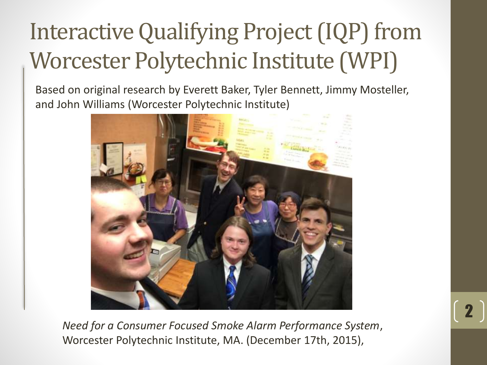## Interactive Qualifying Project (IQP) from Worcester Polytechnic Institute (WPI)

Based on original research by Everett Baker, Tyler Bennett, Jimmy Mosteller, and John Williams (Worcester Polytechnic Institute)



*Need for a Consumer Focused Smoke Alarm Performance System*, Worcester Polytechnic Institute, MA. (December 17th, 2015),

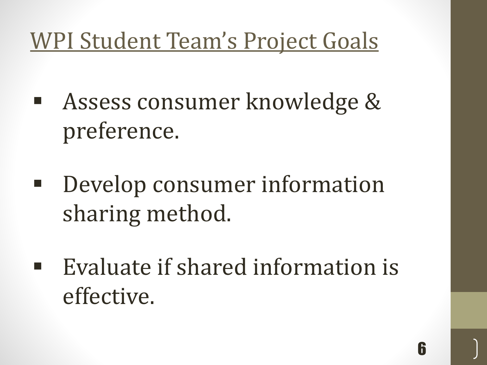#### WPI Student Team's Project Goals

- Assess consumer knowledge & preference.
- Develop consumer information sharing method.
- Evaluate if shared information is effective.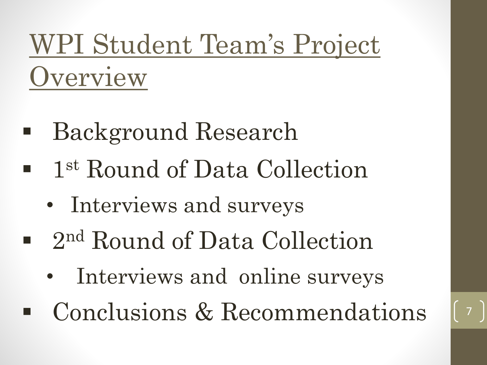## WPI Student Team's Project **Overview**

- Background Research
- **-** 1<sup>st</sup> Round of Data Collection
	- Interviews and surveys
- 2<sup>nd</sup> Round of Data Collection
	- Interviews and online surveys
- Conclusions & Recommendations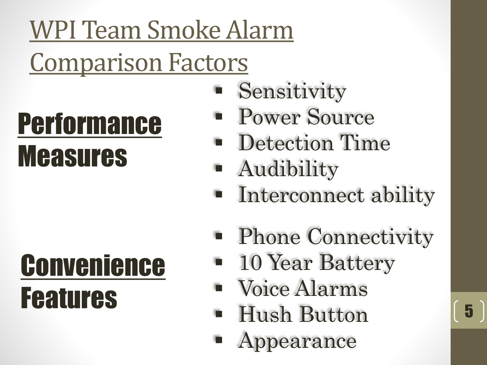## WPI Team Smoke Alarm Comparison Factors

# Performance Measures

# Convenience Features

- Sensitivity
- Power Source
- **Detection Time**
- Audibility
- **Interconnect ability**
- **Phone Connectivity**

- **10 Year Battery**
- Voice Alarms
- Hush Button
- Appearance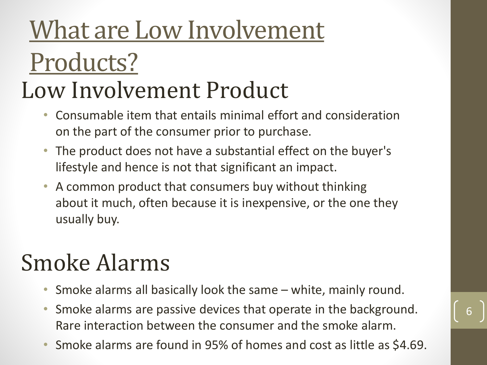## What are Low Involvement Products? Low Involvement Product

- Consumable item that entails minimal effort and consideration on the part of the consumer prior to purchase.
- The product does not have a substantial effect on the buyer's lifestyle and hence is not that significant an impact.
- A common product that consumers buy without thinking about it much, often because it is inexpensive, or the one they usually buy.

### Smoke Alarms

- Smoke alarms all basically look the same white, mainly round.
- Smoke alarms are passive devices that operate in the background. Rare interaction between the consumer and the smoke alarm.

6

• Smoke alarms are found in 95% of homes and cost as little as \$4.69.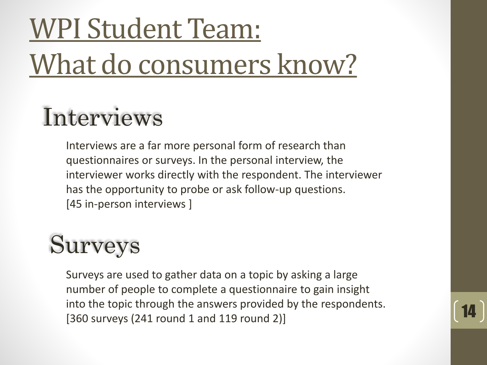# WPI Student Team: What do consumers know?

## Interviews

Interviews are a far more personal form of research than questionnaires or surveys. In the personal interview, the interviewer works directly with the respondent. The interviewer has the opportunity to probe or ask follow-up questions. [45 in-person interviews ]

## Surveys

Surveys are used to gather data on a topic by asking a large number of people to complete a questionnaire to gain insight into the topic through the answers provided by the respondents. [360 surveys (241 round 1 and 119 round 2)]

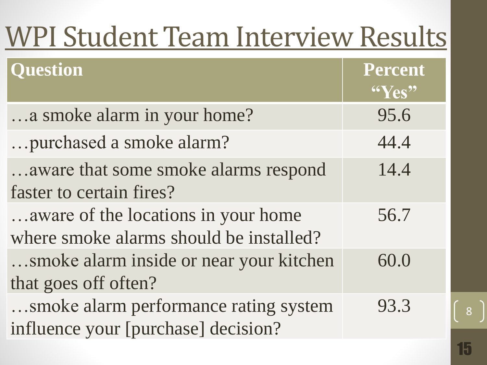| <b>WPI Student Team Interview Results</b>                                      |                                     |
|--------------------------------------------------------------------------------|-------------------------------------|
| <b>Question</b>                                                                | <b>Percent</b><br>$\mathrm{``Yes"}$ |
| a smoke alarm in your home?                                                    | 95.6                                |
| purchased a smoke alarm?                                                       | 44.4                                |
| aware that some smoke alarms respond<br>faster to certain fires?               | 14.4                                |
| aware of the locations in your home<br>where smoke alarms should be installed? | 56.7                                |
| smoke alarm inside or near your kitchen<br>that goes off often?                | 60.0                                |
| smoke alarm performance rating system<br>influence your [purchase] decision?   | 93.3                                |

8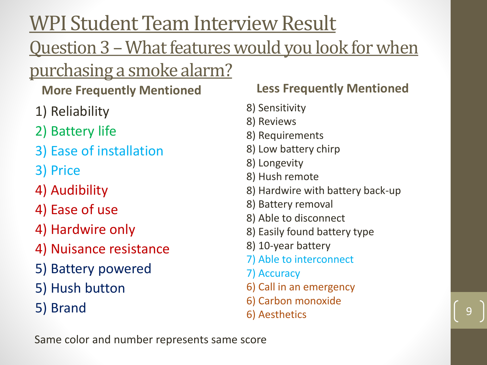WPI Student Team Interview Result

#### Question 3 – What features would you look for when

purchasing a smoke alarm?

#### **More Frequently Mentioned**

- 1) Reliability
- 2) Battery life
- 3) Ease of installation
- 3) Price
- 4) Audibility
- 4) Ease of use
- 4) Hardwire only
- 4) Nuisance resistance
- 5) Battery powered
- 5) Hush button
- 5) Brand

#### **Less Frequently Mentioned**

- 8) Sensitivity
- 8) Reviews
- 8) Requirements
- 8) Low battery chirp
- 8) Longevity
- 8) Hush remote
- 8) Hardwire with battery back-up
- 8) Battery removal
- 8) Able to disconnect
- 8) Easily found battery type
- 8) 10-year battery
- 7) Able to interconnect
- 7) Accuracy
- 6) Call in an emergency
- 6) Carbon monoxide
- 6) Aesthetics 9

Same color and number represents same score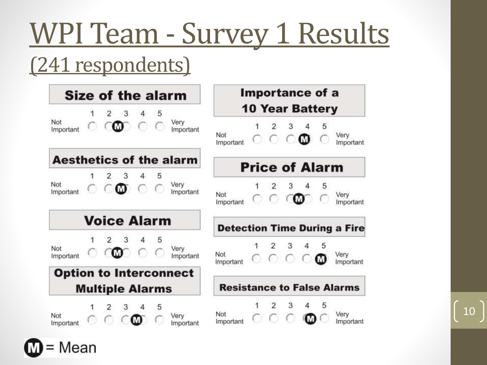# WPI Team - Survey 1 Results

#### (241 respondents)

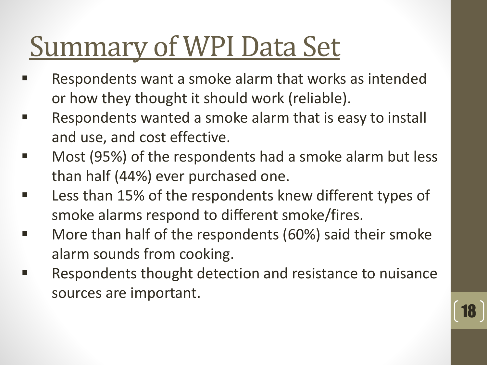# Summary of WPI Data Set

- Respondents want a smoke alarm that works as intended or how they thought it should work (reliable).
- Respondents wanted a smoke alarm that is easy to install and use, and cost effective.
- Most (95%) of the respondents had a smoke alarm but less than half (44%) ever purchased one.
- Less than 15% of the respondents knew different types of smoke alarms respond to different smoke/fires.
- More than half of the respondents (60%) said their smoke alarm sounds from cooking.
- Respondents thought detection and resistance to nuisance sources are important.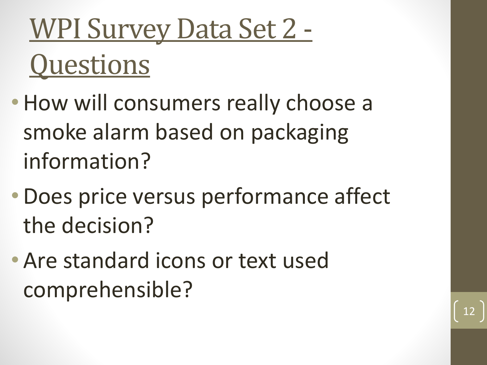# WPI Survey Data Set 2 - **Questions**

- How will consumers really choose a smoke alarm based on packaging information?
- •Does price versus performance affect the decision?

12

• Are standard icons or text used comprehensible?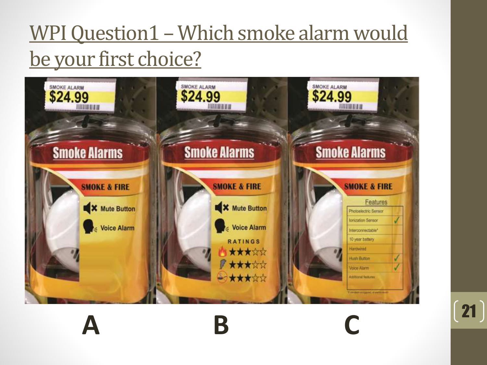#### WPI Question1 – Which smoke alarm would be your first choice?

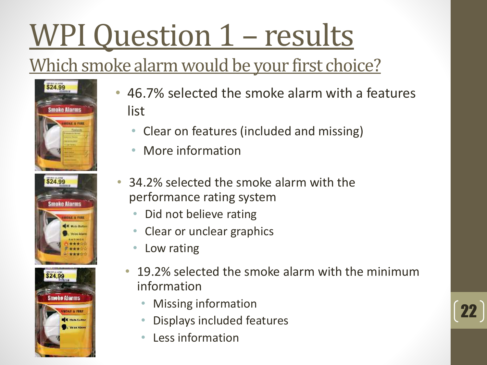# WPI Question 1 – results

#### Which smoke alarm would be your first choice?







- 46.7% selected the smoke alarm with a features list
	- Clear on features (included and missing)
	- More information
- 34.2% selected the smoke alarm with the performance rating system
	- Did not believe rating
	- Clear or unclear graphics
	- Low rating
	- 19.2% selected the smoke alarm with the minimum information
		- Missing information
		- Displays included features
		- Less information

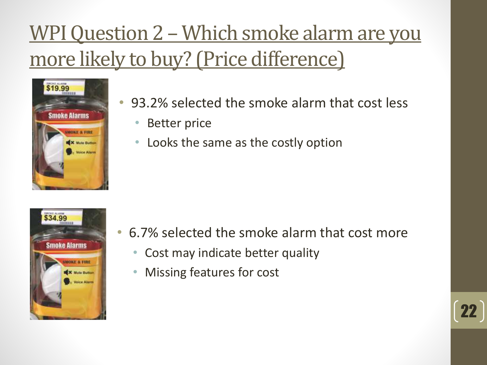#### WPI Question 2 – Which smoke alarm are you more likely to buy? (Price difference)



- 93.2% selected the smoke alarm that cost less
	- Better price
	- Looks the same as the costly option



- 6.7% selected the smoke alarm that cost more
	- Cost may indicate better quality
	- Missing features for cost

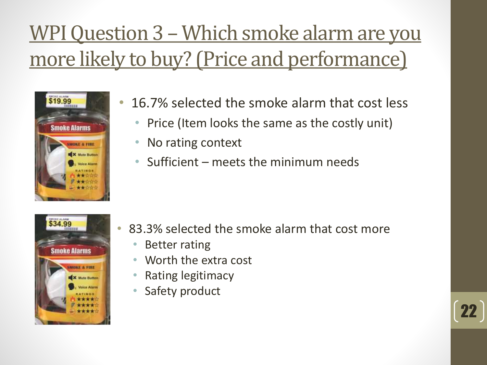#### WPI Question 3 – Which smoke alarm are you more likely to buy? (Price and performance)



- 16.7% selected the smoke alarm that cost less
	- Price (Item looks the same as the costly unit)
	- No rating context
	- Sufficient meets the minimum needs



• 83.3% selected the smoke alarm that cost more

- Better rating
- Worth the extra cost
- Rating legitimacy
- Safety product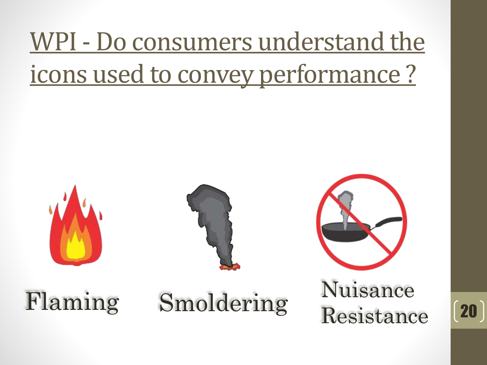## WPI - Do consumers understand the icons used to convey performance ?





Flaming Smoldering Nuisance

Resistance

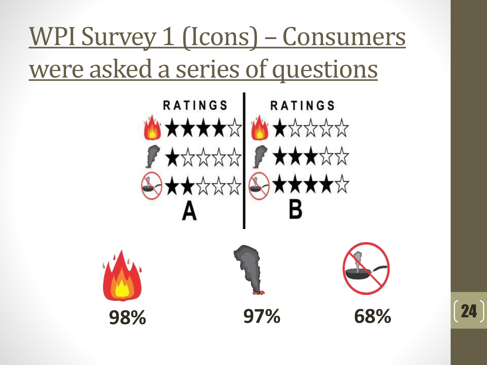## WPI Survey 1 (Icons) – Consumers were asked a series of questions





<sup>24</sup> **98% 97% 68%**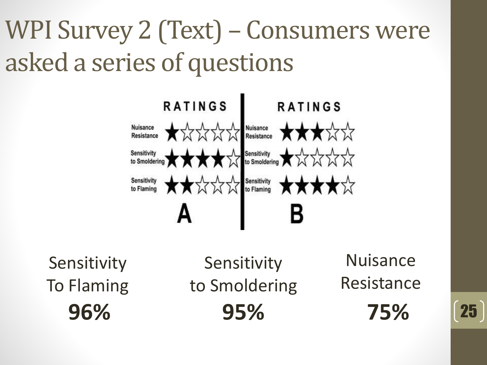## WPI Survey 2 (Text) – Consumers were asked a series of questions



Sensitivity To Flaming

**96% 95% 75%** <sup>25</sup> **Sensitivity** to Smoldering

Nuisance Resistance